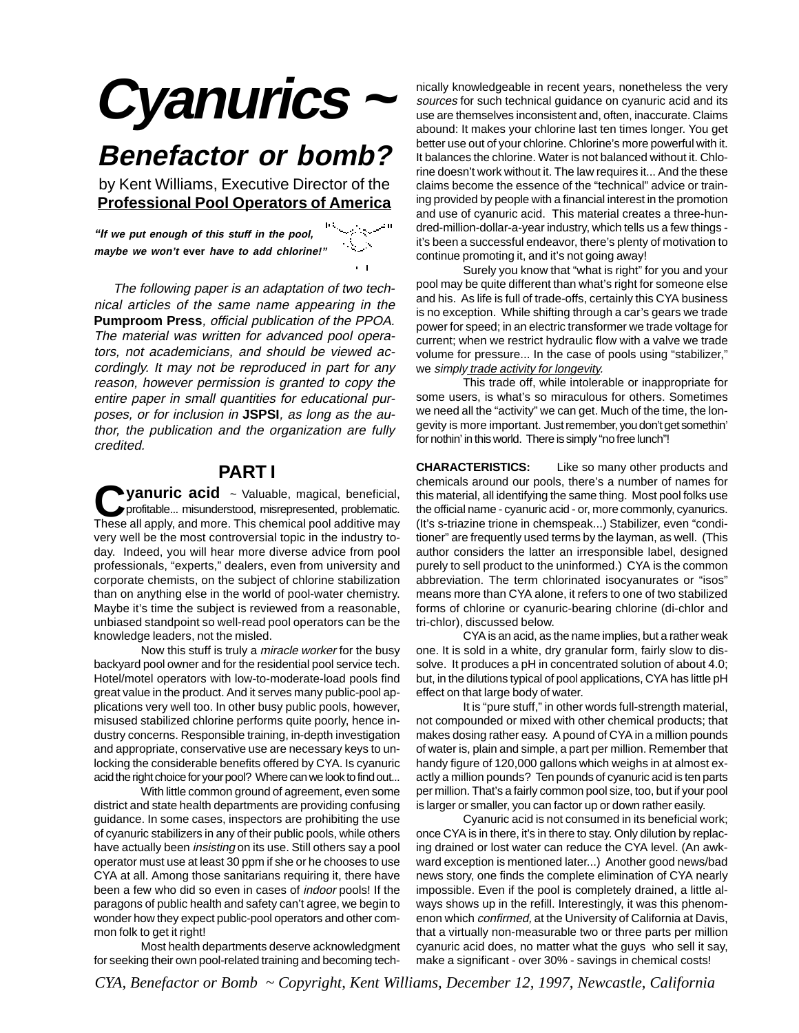# **Cyanurics <sup>~</sup>**

## **Benefactor or bomb?**

by Kent Williams, Executive Director of the **Professional Pool Operators of America**

**"If we put enough of this stuff in the pool,** الريئة **maybe we won't ever have to add chlorine!"**

 The following paper is an adaptation of two technical articles of the same name appearing in the **Pumproom Press**, official publication of the PPOA. The material was written for advanced pool operators, not academicians, and should be viewed accordingly. It may not be reproduced in part for any reason, however permission is granted to copy the entire paper in small quantities for educational purposes, or for inclusion in **JSPSI**, as long as the author, the publication and the organization are fully credited.

### **PART I**

**Vanuric acid** ~ Valuable, magical, beneficial, profitable... misunderstood, misrepresented, problematic. These all apply, and more. This chemical pool additive may very well be the most controversial topic in the industry today. Indeed, you will hear more diverse advice from pool professionals, "experts," dealers, even from university and corporate chemists, on the subject of chlorine stabilization than on anything else in the world of pool-water chemistry. Maybe it's time the subject is reviewed from a reasonable, unbiased standpoint so well-read pool operators can be the knowledge leaders, not the misled.

Now this stuff is truly a miracle worker for the busy backyard pool owner and for the residential pool service tech. Hotel/motel operators with low-to-moderate-load pools find great value in the product. And it serves many public-pool applications very well too. In other busy public pools, however, misused stabilized chlorine performs quite poorly, hence industry concerns. Responsible training, in-depth investigation and appropriate, conservative use are necessary keys to unlocking the considerable benefits offered by CYA. Is cyanuric acid the right choice for your pool? Where can we look to find out...

With little common ground of agreement, even some district and state health departments are providing confusing guidance. In some cases, inspectors are prohibiting the use of cyanuric stabilizers in any of their public pools, while others have actually been *insisting* on its use. Still others say a pool operator must use at least 30 ppm if she or he chooses to use CYA at all. Among those sanitarians requiring it, there have been a few who did so even in cases of indoor pools! If the paragons of public health and safety can't agree, we begin to wonder how they expect public-pool operators and other common folk to get it right!

Most health departments deserve acknowledgment for seeking their own pool-related training and becoming technically knowledgeable in recent years, nonetheless the very sources for such technical guidance on cyanuric acid and its use are themselves inconsistent and, often, inaccurate. Claims abound: It makes your chlorine last ten times longer. You get better use out of your chlorine. Chlorine's more powerful with it. It balances the chlorine. Water is not balanced without it. Chlorine doesn't work without it. The law requires it... And the these claims become the essence of the "technical" advice or training provided by people with a financial interest in the promotion and use of cyanuric acid. This material creates a three-hundred-million-dollar-a-year industry, which tells us a few things it's been a successful endeavor, there's plenty of motivation to continue promoting it, and it's not going away!

Surely you know that "what is right" for you and your pool may be quite different than what's right for someone else and his. As life is full of trade-offs, certainly this CYA business is no exception. While shifting through a car's gears we trade power for speed; in an electric transformer we trade voltage for current; when we restrict hydraulic flow with a valve we trade volume for pressure... In the case of pools using "stabilizer," we simply trade activity for longevity.

This trade off, while intolerable or inappropriate for some users, is what's so miraculous for others. Sometimes we need all the "activity" we can get. Much of the time, the longevity is more important. Just remember, you don't get somethin' for nothin' in this world. There is simply "no free lunch"!

**CHARACTERISTICS:** Like so many other products and chemicals around our pools, there's a number of names for this material, all identifying the same thing. Most pool folks use the official name - cyanuric acid - or, more commonly, cyanurics. (It's s-triazine trione in chemspeak...) Stabilizer, even "conditioner" are frequently used terms by the layman, as well. (This author considers the latter an irresponsible label, designed purely to sell product to the uninformed.) CYA is the common abbreviation. The term chlorinated isocyanurates or "isos" means more than CYA alone, it refers to one of two stabilized forms of chlorine or cyanuric-bearing chlorine (di-chlor and tri-chlor), discussed below.

CYA is an acid, as the name implies, but a rather weak one. It is sold in a white, dry granular form, fairly slow to dissolve. It produces a pH in concentrated solution of about 4.0; but, in the dilutions typical of pool applications, CYA has little pH effect on that large body of water.

It is "pure stuff," in other words full-strength material, not compounded or mixed with other chemical products; that makes dosing rather easy. A pound of CYA in a million pounds of water is, plain and simple, a part per million. Remember that handy figure of 120,000 gallons which weighs in at almost exactly a million pounds? Ten pounds of cyanuric acid is ten parts per million. That's a fairly common pool size, too, but if your pool is larger or smaller, you can factor up or down rather easily.

Cyanuric acid is not consumed in its beneficial work; once CYA is in there, it's in there to stay. Only dilution by replacing drained or lost water can reduce the CYA level. (An awkward exception is mentioned later...) Another good news/bad news story, one finds the complete elimination of CYA nearly impossible. Even if the pool is completely drained, a little always shows up in the refill. Interestingly, it was this phenomenon which confirmed, at the University of California at Davis, that a virtually non-measurable two or three parts per million cyanuric acid does, no matter what the guys who sell it say, make a significant - over 30% - savings in chemical costs!

*CYA, Benefactor or Bomb ~ Copyright, Kent Williams, December 12, 1997, Newcastle, California*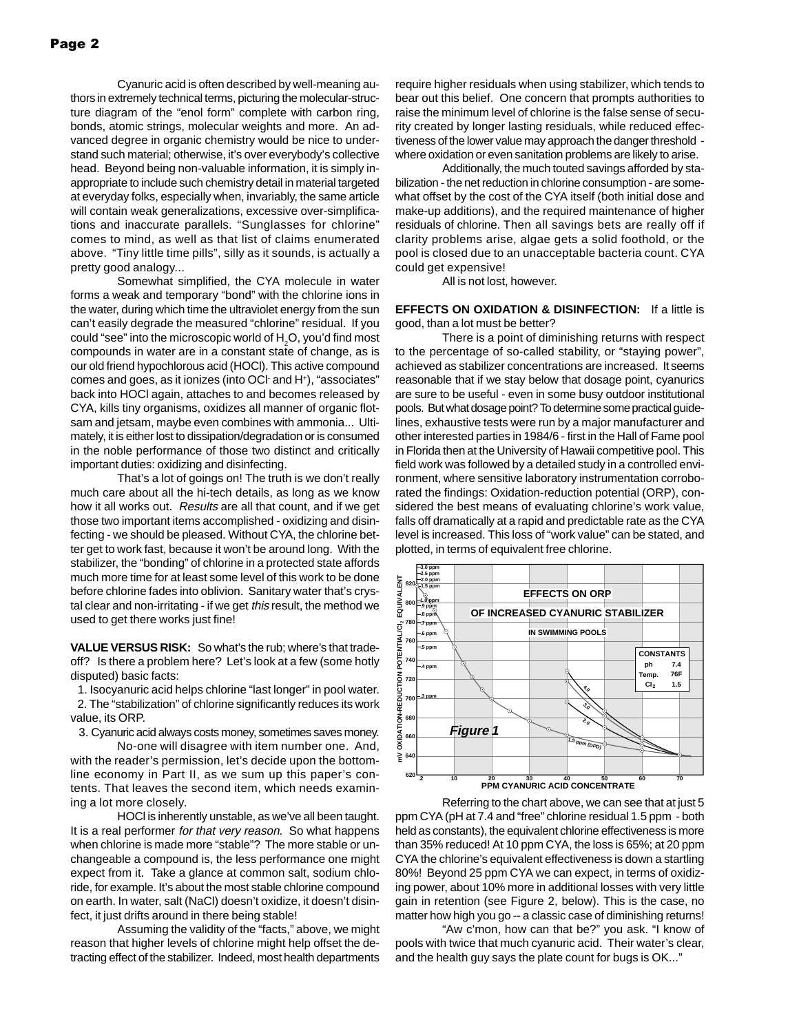Cyanuric acid is often described by well-meaning authors in extremely technical terms, picturing the molecular-structure diagram of the "enol form" complete with carbon ring, bonds, atomic strings, molecular weights and more. An advanced degree in organic chemistry would be nice to understand such material; otherwise, it's over everybody's collective head. Beyond being non-valuable information, it is simply inappropriate to include such chemistry detail in material targeted at everyday folks, especially when, invariably, the same article will contain weak generalizations, excessive over-simplifications and inaccurate parallels. "Sunglasses for chlorine" comes to mind, as well as that list of claims enumerated above. "Tiny little time pills", silly as it sounds, is actually a pretty good analogy...

Somewhat simplified, the CYA molecule in water forms a weak and temporary "bond" with the chlorine ions in the water, during which time the ultraviolet energy from the sun can't easily degrade the measured "chlorine" residual. If you could "see" into the microscopic world of  ${\sf H}_{\tiny 2}$ O, you'd find most compounds in water are in a constant state of change, as is our old friend hypochlorous acid (HOCl). This active compound comes and goes, as it ionizes (into OCI and H<sup>+</sup>), "associates" back into HOCl again, attaches to and becomes released by CYA, kills tiny organisms, oxidizes all manner of organic flotsam and jetsam, maybe even combines with ammonia... Ultimately, it is either lost to dissipation/degradation or is consumed in the noble performance of those two distinct and critically important duties: oxidizing and disinfecting.

That's a lot of goings on! The truth is we don't really much care about all the hi-tech details, as long as we know how it all works out. Results are all that count, and if we get those two important items accomplished - oxidizing and disinfecting - we should be pleased. Without CYA, the chlorine better get to work fast, because it won't be around long. With the stabilizer, the "bonding" of chlorine in a protected state affords much more time for at least some level of this work to be done before chlorine fades into oblivion. Sanitary water that's crystal clear and non-irritating - if we get this result, the method we used to get there works just fine!

**VALUE VERSUS RISK:** So what's the rub; where's that tradeoff? Is there a problem here? Let's look at a few (some hotly disputed) basic facts:

1. Isocyanuric acid helps chlorine "last longer" in pool water.

 2. The "stabilization" of chlorine significantly reduces its work value, its ORP.

3. Cyanuric acid always costs money, sometimes saves money.

No-one will disagree with item number one. And, with the reader's permission, let's decide upon the bottomline economy in Part II, as we sum up this paper's contents. That leaves the second item, which needs examining a lot more closely.

HOCl is inherently unstable, as we've all been taught. It is a real performer for that very reason. So what happens when chlorine is made more "stable"? The more stable or unchangeable a compound is, the less performance one might expect from it. Take a glance at common salt, sodium chloride, for example. It's about the most stable chlorine compound on earth. In water, salt (NaCl) doesn't oxidize, it doesn't disinfect, it just drifts around in there being stable!

Assuming the validity of the "facts," above, we might reason that higher levels of chlorine might help offset the detracting effect of the stabilizer. Indeed, most health departments

require higher residuals when using stabilizer, which tends to bear out this belief. One concern that prompts authorities to raise the minimum level of chlorine is the false sense of security created by longer lasting residuals, while reduced effectiveness of the lower value may approach the danger threshold where oxidation or even sanitation problems are likely to arise.

Additionally, the much touted savings afforded by stabilization - the net reduction in chlorine consumption - are somewhat offset by the cost of the CYA itself (both initial dose and make-up additions), and the required maintenance of higher residuals of chlorine. Then all savings bets are really off if clarity problems arise, algae gets a solid foothold, or the pool is closed due to an unacceptable bacteria count. CYA could get expensive!

All is not lost, however.

**EFFECTS ON OXIDATION & DISINFECTION:** If a little is good, than a lot must be better?

There is a point of diminishing returns with respect to the percentage of so-called stability, or "staying power", achieved as stabilizer concentrations are increased. It seems reasonable that if we stay below that dosage point, cyanurics are sure to be useful - even in some busy outdoor institutional pools. But what dosage point? To determine some practical guidelines, exhaustive tests were run by a major manufacturer and other interested parties in 1984/6 - first in the Hall of Fame pool in Florida then at the University of Hawaii competitive pool. This field work was followed by a detailed study in a controlled environment, where sensitive laboratory instrumentation corroborated the findings: Oxidation-reduction potential (ORP), considered the best means of evaluating chlorine's work value, falls off dramatically at a rapid and predictable rate as the CYA level is increased. This loss of "work value" can be stated, and plotted, in terms of equivalent free chlorine.



Referring to the chart above, we can see that at just 5 ppm CYA (pH at 7.4 and "free" chlorine residual 1.5 ppm - both held as constants), the equivalent chlorine effectiveness is more than 35% reduced! At 10 ppm CYA, the loss is 65%; at 20 ppm CYA the chlorine's equivalent effectiveness is down a startling 80%! Beyond 25 ppm CYA we can expect, in terms of oxidizing power, about 10% more in additional losses with very little gain in retention (see Figure 2, below). This is the case, no matter how high you go -- a classic case of diminishing returns!

"Aw c'mon, how can that be?" you ask. "I know of pools with twice that much cyanuric acid. Their water's clear, and the health guy says the plate count for bugs is OK..."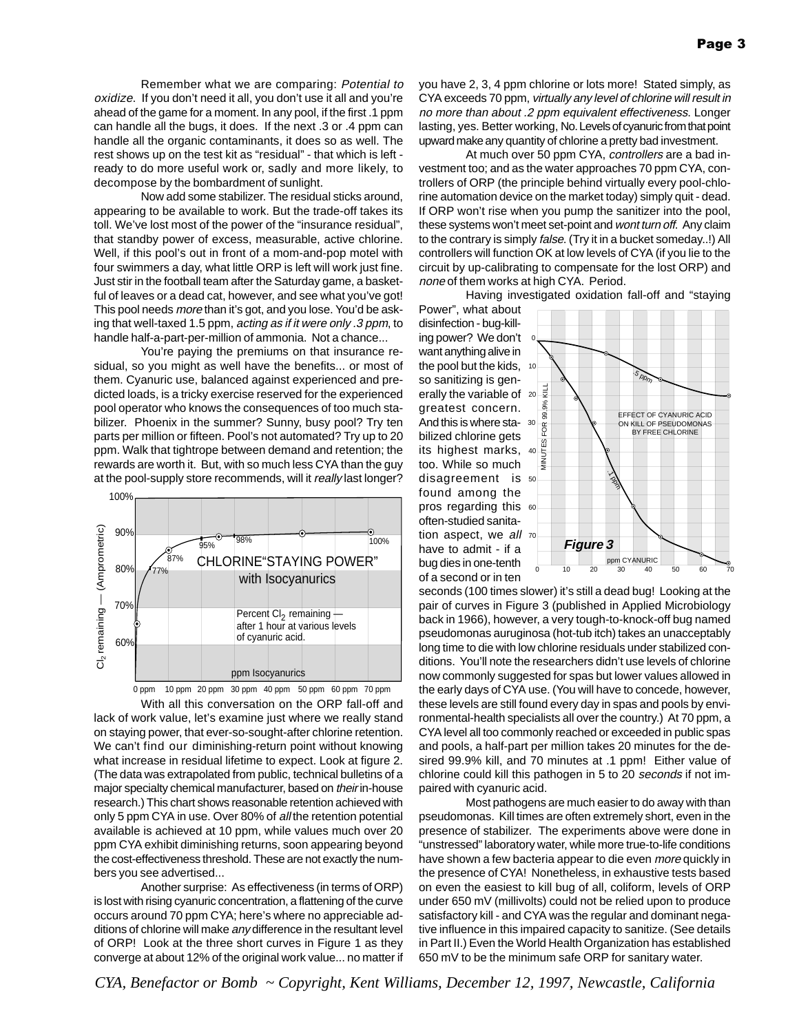Remember what we are comparing: Potential to oxidize. If you don't need it all, you don't use it all and you're ahead of the game for a moment. In any pool, if the first .1 ppm can handle all the bugs, it does. If the next .3 or .4 ppm can handle all the organic contaminants, it does so as well. The rest shows up on the test kit as "residual" - that which is left ready to do more useful work or, sadly and more likely, to decompose by the bombardment of sunlight.

Now add some stabilizer. The residual sticks around, appearing to be available to work. But the trade-off takes its toll. We've lost most of the power of the "insurance residual", that standby power of excess, measurable, active chlorine. Well, if this pool's out in front of a mom-and-pop motel with four swimmers a day, what little ORP is left will work just fine. Just stir in the football team after the Saturday game, a basketful of leaves or a dead cat, however, and see what you've got! This pool needs more than it's got, and you lose. You'd be asking that well-taxed 1.5 ppm, acting as if it were only .3 ppm, to handle half-a-part-per-million of ammonia. Not a chance...

You're paying the premiums on that insurance residual, so you might as well have the benefits... or most of them. Cyanuric use, balanced against experienced and predicted loads, is a tricky exercise reserved for the experienced pool operator who knows the consequences of too much stabilizer. Phoenix in the summer? Sunny, busy pool? Try ten parts per million or fifteen. Pool's not automated? Try up to 20 ppm. Walk that tightrope between demand and retention; the rewards are worth it. But, with so much less CYA than the guy at the pool-supply store recommends, will it really last longer?





With all this conversation on the ORP fall-off and lack of work value, let's examine just where we really stand on staying power, that ever-so-sought-after chlorine retention. We can't find our diminishing-return point without knowing what increase in residual lifetime to expect. Look at figure 2. (The data was extrapolated from public, technical bulletins of a major specialty chemical manufacturer, based on their in-house research.) This chart shows reasonable retention achieved with only 5 ppm CYA in use. Over 80% of all the retention potential available is achieved at 10 ppm, while values much over 20 ppm CYA exhibit diminishing returns, soon appearing beyond the cost-effectiveness threshold. These are not exactly the numbers you see advertised...

Another surprise: As effectiveness (in terms of ORP) is lost with rising cyanuric concentration, a flattening of the curve occurs around 70 ppm CYA; here's where no appreciable additions of chlorine will make any difference in the resultant level of ORP! Look at the three short curves in Figure 1 as they converge at about 12% of the original work value... no matter if

you have 2, 3, 4 ppm chlorine or lots more! Stated simply, as CYA exceeds 70 ppm, virtually any level of chlorine will result in no more than about .2 ppm equivalent effectiveness. Longer lasting, yes. Better working, No. Levels of cyanuric from that point upward make any quantity of chlorine a pretty bad investment.

At much over 50 ppm CYA, controllers are a bad investment too; and as the water approaches 70 ppm CYA, controllers of ORP (the principle behind virtually every pool-chlorine automation device on the market today) simply quit - dead. If ORP won't rise when you pump the sanitizer into the pool, these systems won't meet set-point and wont turn off. Any claim to the contrary is simply false. (Try it in a bucket someday..!) All controllers will function OK at low levels of CYA (if you lie to the circuit by up-calibrating to compensate for the lost ORP) and none of them works at high CYA. Period.

Having investigated oxidation fall-off and "staying

Power", what about disinfection - bug-killing power? We don't want anything alive in the pool but the kids, so sanitizing is generally the variable of greatest concern. And this is where sta-30 bilized chlorine gets its highest marks, too. While so much disagreement is found among the pros regarding this often-studied sanitation aspect, we all have to admit - if a bug dies in one-tenth



seconds (100 times slower) it's still a dead bug! Looking at the pair of curves in Figure 3 (published in Applied Microbiology back in 1966), however, a very tough-to-knock-off bug named pseudomonas auruginosa (hot-tub itch) takes an unacceptably long time to die with low chlorine residuals under stabilized conditions. You'll note the researchers didn't use levels of chlorine now commonly suggested for spas but lower values allowed in the early days of CYA use. (You will have to concede, however, these levels are still found every day in spas and pools by environmental-health specialists all over the country.) At 70 ppm, a CYA level all too commonly reached or exceeded in public spas and pools, a half-part per million takes 20 minutes for the desired 99.9% kill, and 70 minutes at .1 ppm! Either value of chlorine could kill this pathogen in 5 to 20 seconds if not impaired with cyanuric acid.

Most pathogens are much easier to do away with than pseudomonas. Kill times are often extremely short, even in the presence of stabilizer. The experiments above were done in "unstressed" laboratory water, while more true-to-life conditions have shown a few bacteria appear to die even more quickly in the presence of CYA! Nonetheless, in exhaustive tests based on even the easiest to kill bug of all, coliform, levels of ORP under 650 mV (millivolts) could not be relied upon to produce satisfactory kill - and CYA was the regular and dominant negative influence in this impaired capacity to sanitize. (See details in Part II.) Even the World Health Organization has established 650 mV to be the minimum safe ORP for sanitary water.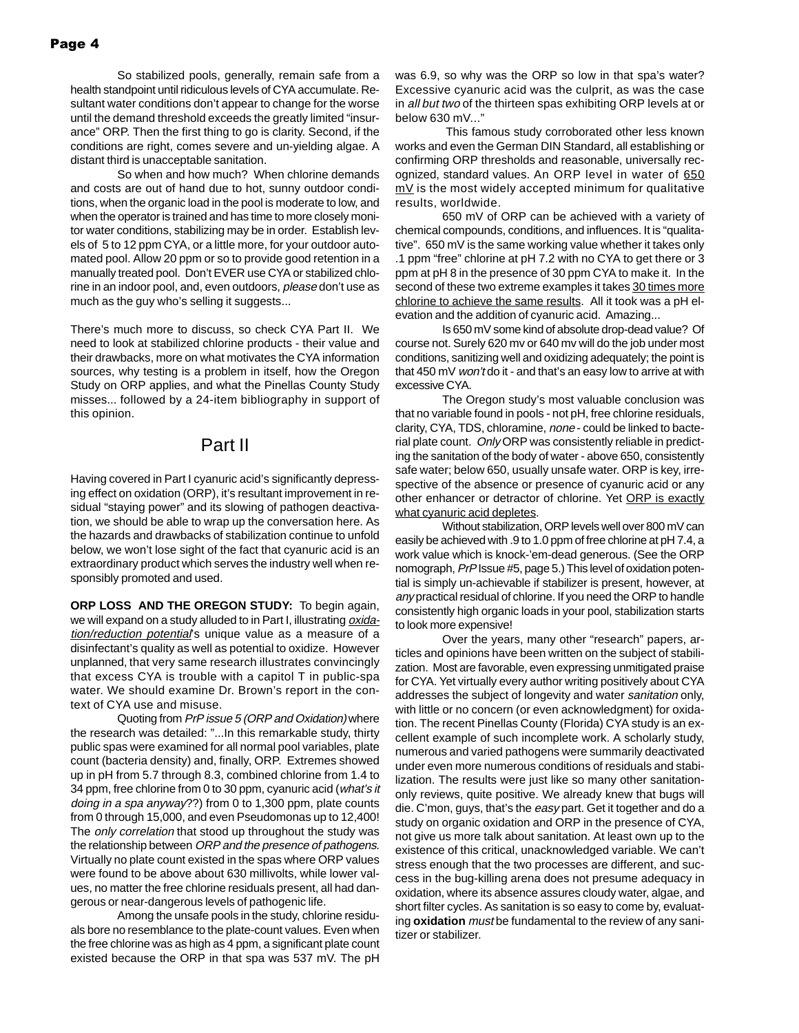So stabilized pools, generally, remain safe from a health standpoint until ridiculous levels of CYA accumulate. Resultant water conditions don't appear to change for the worse until the demand threshold exceeds the greatly limited "insurance" ORP. Then the first thing to go is clarity. Second, if the conditions are right, comes severe and un-yielding algae. A distant third is unacceptable sanitation.

So when and how much? When chlorine demands and costs are out of hand due to hot, sunny outdoor conditions, when the organic load in the pool is moderate to low, and when the operator is trained and has time to more closely monitor water conditions, stabilizing may be in order. Establish levels of 5 to 12 ppm CYA, or a little more, for your outdoor automated pool. Allow 20 ppm or so to provide good retention in a manually treated pool. Don't EVER use CYA or stabilized chlorine in an indoor pool, and, even outdoors, please don't use as much as the guy who's selling it suggests...

There's much more to discuss, so check CYA Part II. We need to look at stabilized chlorine products - their value and their drawbacks, more on what motivates the CYA information sources, why testing is a problem in itself, how the Oregon Study on ORP applies, and what the Pinellas County Study misses... followed by a 24-item bibliography in support of this opinion.

#### Part II

Having covered in Part I cyanuric acid's significantly depressing effect on oxidation (ORP), it's resultant improvement in residual "staying power" and its slowing of pathogen deactivation, we should be able to wrap up the conversation here. As the hazards and drawbacks of stabilization continue to unfold below, we won't lose sight of the fact that cyanuric acid is an extraordinary product which serves the industry well when responsibly promoted and used.

**ORP LOSS AND THE OREGON STUDY:** To begin again, we will expand on a study alluded to in Part I, illustrating *oxida*tion/reduction potential's unique value as a measure of a disinfectant's quality as well as potential to oxidize. However unplanned, that very same research illustrates convincingly that excess CYA is trouble with a capitol T in public-spa water. We should examine Dr. Brown's report in the context of CYA use and misuse.

Quoting from PrP issue 5 (ORP and Oxidation) where the research was detailed: "...In this remarkable study, thirty public spas were examined for all normal pool variables, plate count (bacteria density) and, finally, ORP. Extremes showed up in pH from 5.7 through 8.3, combined chlorine from 1.4 to 34 ppm, free chlorine from 0 to 30 ppm, cyanuric acid (what's it doing in a spa anyway??) from 0 to 1,300 ppm, plate counts from 0 through 15,000, and even Pseudomonas up to 12,400! The only correlation that stood up throughout the study was the relationship between ORP and the presence of pathogens. Virtually no plate count existed in the spas where ORP values were found to be above about 630 millivolts, while lower values, no matter the free chlorine residuals present, all had dangerous or near-dangerous levels of pathogenic life.

Among the unsafe pools in the study, chlorine residuals bore no resemblance to the plate-count values. Even when the free chlorine was as high as 4 ppm, a significant plate count existed because the ORP in that spa was 537 mV. The pH was 6.9, so why was the ORP so low in that spa's water? Excessive cyanuric acid was the culprit, as was the case in all but two of the thirteen spas exhibiting ORP levels at or below 630 mV..."

 This famous study corroborated other less known works and even the German DIN Standard, all establishing or confirming ORP thresholds and reasonable, universally recognized, standard values. An ORP level in water of 650  $mV$  is the most widely accepted minimum for qualitative results, worldwide.

650 mV of ORP can be achieved with a variety of chemical compounds, conditions, and influences. It is "qualitative". 650 mV is the same working value whether it takes only .1 ppm "free" chlorine at pH 7.2 with no CYA to get there or 3 ppm at pH 8 in the presence of 30 ppm CYA to make it. In the second of these two extreme examples it takes 30 times more chlorine to achieve the same results. All it took was a pH elevation and the addition of cyanuric acid. Amazing...

Is 650 mV some kind of absolute drop-dead value? Of course not. Surely 620 mv or 640 mv will do the job under most conditions, sanitizing well and oxidizing adequately; the point is that 450 mV won't do it - and that's an easy low to arrive at with excessive CYA.

The Oregon study's most valuable conclusion was that no variable found in pools - not pH, free chlorine residuals, clarity, CYA, TDS, chloramine, none - could be linked to bacterial plate count. Only ORP was consistently reliable in predicting the sanitation of the body of water - above 650, consistently safe water; below 650, usually unsafe water. ORP is key, irrespective of the absence or presence of cyanuric acid or any other enhancer or detractor of chlorine. Yet ORP is exactly what cyanuric acid depletes.

Without stabilization, ORP levels well over 800 mV can easily be achieved with .9 to 1.0 ppm of free chlorine at pH 7.4, a work value which is knock-'em-dead generous. (See the ORP nomograph, PrP Issue #5, page 5.) This level of oxidation potential is simply un-achievable if stabilizer is present, however, at any practical residual of chlorine. If you need the ORP to handle consistently high organic loads in your pool, stabilization starts to look more expensive!

Over the years, many other "research" papers, articles and opinions have been written on the subject of stabilization. Most are favorable, even expressing unmitigated praise for CYA. Yet virtually every author writing positively about CYA addresses the subject of longevity and water sanitation only, with little or no concern (or even acknowledgment) for oxidation. The recent Pinellas County (Florida) CYA study is an excellent example of such incomplete work. A scholarly study, numerous and varied pathogens were summarily deactivated under even more numerous conditions of residuals and stabilization. The results were just like so many other sanitationonly reviews, quite positive. We already knew that bugs will die. C'mon, guys, that's the easy part. Get it together and do a study on organic oxidation and ORP in the presence of CYA, not give us more talk about sanitation. At least own up to the existence of this critical, unacknowledged variable. We can't stress enough that the two processes are different, and success in the bug-killing arena does not presume adequacy in oxidation, where its absence assures cloudy water, algae, and short filter cycles. As sanitation is so easy to come by, evaluating **oxidation** must be fundamental to the review of any sanitizer or stabilizer.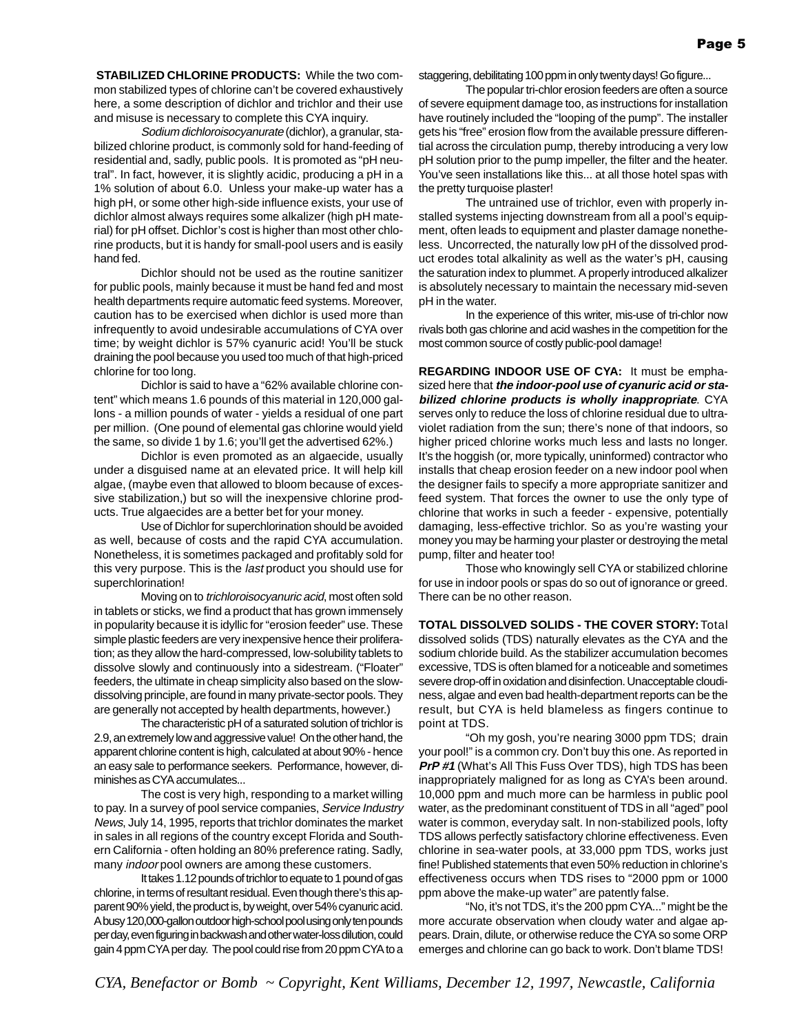**STABILIZED CHLORINE PRODUCTS:** While the two common stabilized types of chlorine can't be covered exhaustively here, a some description of dichlor and trichlor and their use and misuse is necessary to complete this CYA inquiry.

Sodium dichloroisocyanurate (dichlor), a granular, stabilized chlorine product, is commonly sold for hand-feeding of residential and, sadly, public pools. It is promoted as "pH neutral". In fact, however, it is slightly acidic, producing a pH in a 1% solution of about 6.0. Unless your make-up water has a high pH, or some other high-side influence exists, your use of dichlor almost always requires some alkalizer (high pH material) for pH offset. Dichlor's cost is higher than most other chlorine products, but it is handy for small-pool users and is easily hand fed.

Dichlor should not be used as the routine sanitizer for public pools, mainly because it must be hand fed and most health departments require automatic feed systems. Moreover, caution has to be exercised when dichlor is used more than infrequently to avoid undesirable accumulations of CYA over time; by weight dichlor is 57% cyanuric acid! You'll be stuck draining the pool because you used too much of that high-priced chlorine for too long.

Dichlor is said to have a "62% available chlorine content" which means 1.6 pounds of this material in 120,000 gallons - a million pounds of water - yields a residual of one part per million. (One pound of elemental gas chlorine would yield the same, so divide 1 by 1.6; you'll get the advertised 62%.)

Dichlor is even promoted as an algaecide, usually under a disguised name at an elevated price. It will help kill algae, (maybe even that allowed to bloom because of excessive stabilization,) but so will the inexpensive chlorine products. True algaecides are a better bet for your money.

Use of Dichlor for superchlorination should be avoided as well, because of costs and the rapid CYA accumulation. Nonetheless, it is sometimes packaged and profitably sold for this very purpose. This is the *last* product you should use for superchlorination!

Moving on to trichloroisocyanuric acid, most often sold in tablets or sticks, we find a product that has grown immensely in popularity because it is idyllic for "erosion feeder" use. These simple plastic feeders are very inexpensive hence their proliferation; as they allow the hard-compressed, low-solubility tablets to dissolve slowly and continuously into a sidestream. ("Floater" feeders, the ultimate in cheap simplicity also based on the slowdissolving principle, are found in many private-sector pools. They are generally not accepted by health departments, however.)

The characteristic pH of a saturated solution of trichlor is 2.9, an extremely low and aggressive value! On the other hand, the apparent chlorine content is high, calculated at about 90% - hence an easy sale to performance seekers. Performance, however, diminishes as CYA accumulates...

The cost is very high, responding to a market willing to pay. In a survey of pool service companies, Service Industry News, July 14, 1995, reports that trichlor dominates the market in sales in all regions of the country except Florida and Southern California - often holding an 80% preference rating. Sadly, many indoor pool owners are among these customers.

It takes 1.12 pounds of trichlor to equate to 1 pound of gas chlorine, in terms of resultant residual. Even though there's this apparent 90% yield, the product is, by weight, over 54% cyanuric acid. A busy 120,000-gallon outdoor high-school pool using only ten pounds per day, even figuring in backwash and other water-loss dilution, could gain 4 ppm CYA per day. The pool could rise from 20 ppm CYA to a staggering, debilitating 100 ppm in only twenty days! Go figure...

The popular tri-chlor erosion feeders are often a source of severe equipment damage too, as instructions for installation have routinely included the "looping of the pump". The installer gets his "free" erosion flow from the available pressure differential across the circulation pump, thereby introducing a very low pH solution prior to the pump impeller, the filter and the heater. You've seen installations like this... at all those hotel spas with the pretty turquoise plaster!

The untrained use of trichlor, even with properly installed systems injecting downstream from all a pool's equipment, often leads to equipment and plaster damage nonetheless. Uncorrected, the naturally low pH of the dissolved product erodes total alkalinity as well as the water's pH, causing the saturation index to plummet. A properly introduced alkalizer is absolutely necessary to maintain the necessary mid-seven pH in the water.

In the experience of this writer, mis-use of tri-chlor now rivals both gas chlorine and acid washes in the competition for the most common source of costly public-pool damage!

**REGARDING INDOOR USE OF CYA:** It must be emphasized here that **the indoor-pool use of cyanuric acid or stabilized chlorine products is wholly inappropriate**. CYA serves only to reduce the loss of chlorine residual due to ultraviolet radiation from the sun; there's none of that indoors, so higher priced chlorine works much less and lasts no longer. It's the hoggish (or, more typically, uninformed) contractor who installs that cheap erosion feeder on a new indoor pool when the designer fails to specify a more appropriate sanitizer and feed system. That forces the owner to use the only type of chlorine that works in such a feeder - expensive, potentially damaging, less-effective trichlor. So as you're wasting your money you may be harming your plaster or destroying the metal pump, filter and heater too!

Those who knowingly sell CYA or stabilized chlorine for use in indoor pools or spas do so out of ignorance or greed. There can be no other reason.

**TOTAL DISSOLVED SOLIDS - THE COVER STORY:**Total dissolved solids (TDS) naturally elevates as the CYA and the sodium chloride build. As the stabilizer accumulation becomes excessive, TDS is often blamed for a noticeable and sometimes severe drop-off in oxidation and disinfection. Unacceptable cloudiness, algae and even bad health-department reports can be the result, but CYA is held blameless as fingers continue to point at TDS.

"Oh my gosh, you're nearing 3000 ppm TDS; drain your pool!" is a common cry. Don't buy this one. As reported in **PrP #1** (What's All This Fuss Over TDS), high TDS has been inappropriately maligned for as long as CYA's been around. 10,000 ppm and much more can be harmless in public pool water, as the predominant constituent of TDS in all "aged" pool water is common, everyday salt. In non-stabilized pools, lofty TDS allows perfectly satisfactory chlorine effectiveness. Even chlorine in sea-water pools, at 33,000 ppm TDS, works just fine! Published statements that even 50% reduction in chlorine's effectiveness occurs when TDS rises to "2000 ppm or 1000 ppm above the make-up water" are patently false.

"No, it's not TDS, it's the 200 ppm CYA..." might be the more accurate observation when cloudy water and algae appears. Drain, dilute, or otherwise reduce the CYA so some ORP emerges and chlorine can go back to work. Don't blame TDS!